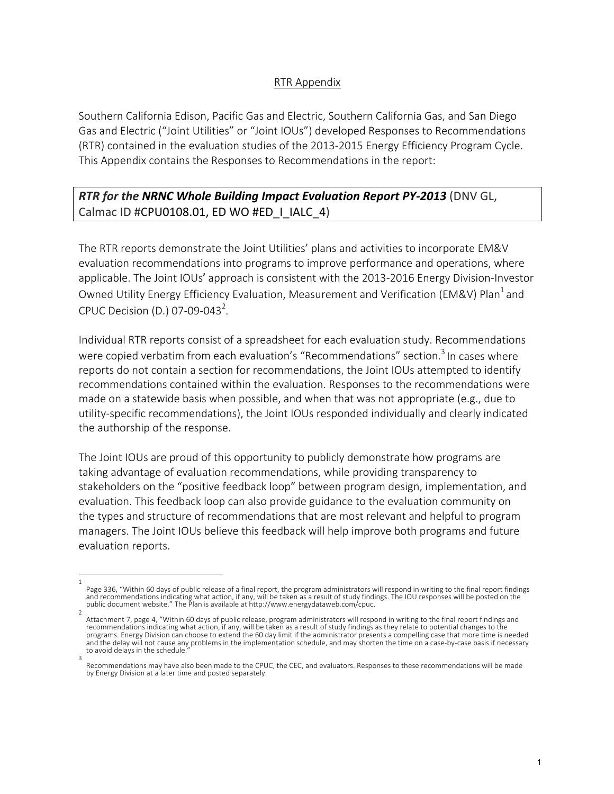## RTR Appendix

Southern California Edison, Pacific Gas and Electric, Southern California Gas, and San Diego Gas and Electric ("Joint Utilities" or "Joint IOUs") developed Responses to Recommendations (RTR) contained in the evaluation studies of the 2013-2015 Energy Efficiency Program Cycle. This Appendix contains the Responses to Recommendations in the report:

**RTR for the NRNC Whole Building Impact Evaluation Report PY-2013** (DNV GL, Calmac ID #CPU0108.01, ED WO #ED\_I\_IALC\_4)

The RTR reports demonstrate the Joint Utilities' plans and activities to incorporate EM&V evaluation recommendations into programs to improve performance and operations, where applicable. The Joint IOUs' approach is consistent with the 2013-2016 Energy Division-Investor Owned Utility Energy Efficiency Evaluation, Measurement and Verification (EM&V) Plan<sup>1</sup> and CPUC Decision (D.) 07-09-043<sup>2</sup>.

Individual RTR reports consist of a spreadsheet for each evaluation study. Recommendations were copied verbatim from each evaluation's "Recommendations" section.<sup>3</sup> In cases where reports do not contain a section for recommendations, the Joint IOUs attempted to identify recommendations contained within the evaluation. Responses to the recommendations were made on a statewide basis when possible, and when that was not appropriate  $(e.g., die to$ utility-specific recommendations), the Joint IOUs responded individually and clearly indicated the authorship of the response.

The Joint IOUs are proud of this opportunity to publicly demonstrate how programs are taking advantage of evaluation recommendations, while providing transparency to stakeholders on the "positive feedback loop" between program design, implementation, and evaluation. This feedback loop can also provide guidance to the evaluation community on the types and structure of recommendations that are most relevant and helpful to program managers. The Joint IOUs believe this feedback will help improve both programs and future evaluation reports.

<sup>1</sup>  Page 336, "Within 60 days of public release of a final report, the program administrators will respond in writing to the final report findings and recommendations indicating what action, if any, will be taken as a result of study findings. The IOU responses will be posted on the public document website." The Plan is available at http://www.energydataweb.com/cpuc.

<sup>2</sup>  Attachment 7, page 4, "Within 60 days of public release, program administrators will respond in writing to the final report findings and recommendations indicating what action, if any, will be taken as a result of study findings as they relate to potential changes to the programs. Energy Division can choose to extend the 60 day limit if the administrator presents a compelling case that more time is needed and the delay will not cause any problems in the implementation schedule, and may shorten the time on a case-by-case basis if necessary to avoid delays in the schedule. 3 

Recommendations may have also been made to the CPUC, the CEC, and evaluators. Responses to these recommendations will be made by Energy Division at a later time and posted separately.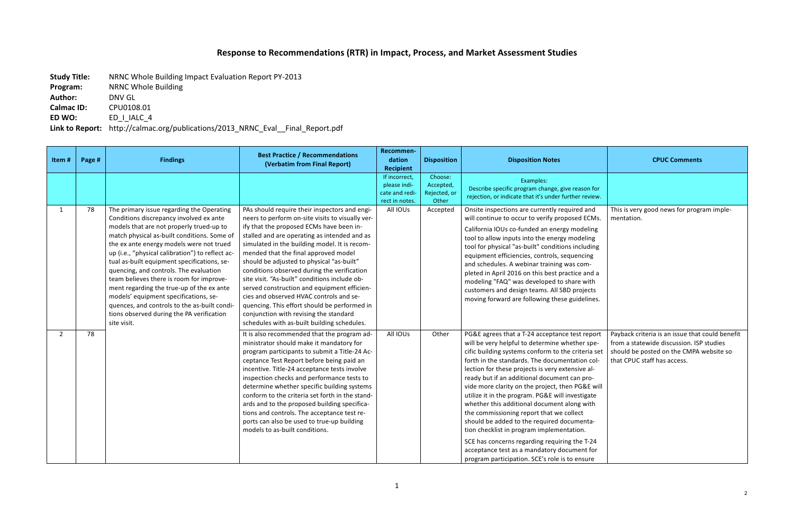## Response to Recommendations (RTR) in Impact, Process, and Market Assessment Studies

**Study Title:** NRNC Whole Building Impact Evaluation Report PY-2013

**Program:** NRNC Whole Building

Author: **DNV GL** 

**Calmac ID:** CPU0108.01

**ED WO:** ED\_I\_IALC\_4

Link to Report: http://calmac.org/publications/2013\_NRNC\_Eval\_\_Final\_Report.pdf

| Item#          | Page # | <b>Findings</b>                                                                                                                                                                                                                                                                                                                                                                                                                                                                                                                                                                                                        | <b>Best Practice / Recommendations</b><br>(Verbatim from Final Report)                                                                                                                                                                                                                                                                                                                                                                                                                                                                                                                                                                                                 | Recommen-<br>dation<br><b>Recipient</b>                           | <b>Disposition</b>                            | <b>Disposition Notes</b>                                                                                                                                                                                                                                                                                                                                                                                                                                                                                                                                                                                                                                                                                                                                     | <b>CPUC Comments</b>                                                                                                                                                  |
|----------------|--------|------------------------------------------------------------------------------------------------------------------------------------------------------------------------------------------------------------------------------------------------------------------------------------------------------------------------------------------------------------------------------------------------------------------------------------------------------------------------------------------------------------------------------------------------------------------------------------------------------------------------|------------------------------------------------------------------------------------------------------------------------------------------------------------------------------------------------------------------------------------------------------------------------------------------------------------------------------------------------------------------------------------------------------------------------------------------------------------------------------------------------------------------------------------------------------------------------------------------------------------------------------------------------------------------------|-------------------------------------------------------------------|-----------------------------------------------|--------------------------------------------------------------------------------------------------------------------------------------------------------------------------------------------------------------------------------------------------------------------------------------------------------------------------------------------------------------------------------------------------------------------------------------------------------------------------------------------------------------------------------------------------------------------------------------------------------------------------------------------------------------------------------------------------------------------------------------------------------------|-----------------------------------------------------------------------------------------------------------------------------------------------------------------------|
|                |        |                                                                                                                                                                                                                                                                                                                                                                                                                                                                                                                                                                                                                        |                                                                                                                                                                                                                                                                                                                                                                                                                                                                                                                                                                                                                                                                        | If incorrect,<br>please indi-<br>cate and redi-<br>rect in notes. | Choose:<br>Accepted,<br>Rejected, or<br>Other | Examples:<br>Describe specific program change, give reason for<br>rejection, or indicate that it's under further review.                                                                                                                                                                                                                                                                                                                                                                                                                                                                                                                                                                                                                                     |                                                                                                                                                                       |
| $\mathbf{1}$   | 78     | The primary issue regarding the Operating<br>Conditions discrepancy involved ex ante<br>models that are not properly trued-up to<br>match physical as-built conditions. Some of<br>the ex ante energy models were not trued<br>up (i.e., "physical calibration") to reflect ac-<br>tual as-built equipment specifications, se-<br>quencing, and controls. The evaluation<br>team believes there is room for improve-<br>ment regarding the true-up of the ex ante<br>models' equipment specifications, se-<br>quences, and controls to the as-built condi-<br>tions observed during the PA verification<br>site visit. | PAs should require their inspectors and engi-<br>neers to perform on-site visits to visually ver-<br>ify that the proposed ECMs have been in-<br>stalled and are operating as intended and as<br>simulated in the building model. It is recom-<br>mended that the final approved model<br>should be adjusted to physical "as-built"<br>conditions observed during the verification<br>site visit. "As-built" conditions include ob-<br>served construction and equipment efficien-<br>cies and observed HVAC controls and se-<br>quencing. This effort should be performed in<br>conjunction with revising the standard<br>schedules with as-built building schedules. | All IOUs                                                          | Accepted                                      | Onsite inspections are currently required and<br>will continue to occur to verify proposed ECMs.<br>California IOUs co-funded an energy modeling<br>tool to allow inputs into the energy modeling<br>tool for physical "as-built" conditions including<br>equipment efficiencies, controls, sequencing<br>and schedules. A webinar training was com-<br>pleted in April 2016 on this best practice and a<br>modeling "FAQ" was developed to share with<br>customers and design teams. All SBD projects<br>moving forward are following these guidelines.                                                                                                                                                                                                     | This is very good news for program imple-<br>mentation.                                                                                                               |
| $\overline{2}$ | 78     |                                                                                                                                                                                                                                                                                                                                                                                                                                                                                                                                                                                                                        | It is also recommended that the program ad-<br>ministrator should make it mandatory for<br>program participants to submit a Title-24 Ac-<br>ceptance Test Report before being paid an<br>incentive. Title-24 acceptance tests involve<br>inspection checks and performance tests to<br>determine whether specific building systems<br>conform to the criteria set forth in the stand-<br>ards and to the proposed building specifica-<br>tions and controls. The acceptance test re-<br>ports can also be used to true-up building<br>models to as-built conditions.                                                                                                   | All IOUs                                                          | Other                                         | PG&E agrees that a T-24 acceptance test report<br>will be very helpful to determine whether spe-<br>cific building systems conform to the criteria set<br>forth in the standards. The documentation col-<br>lection for these projects is very extensive al-<br>ready but if an additional document can pro-<br>vide more clarity on the project, then PG&E will<br>utilize it in the program. PG&E will investigate<br>whether this additional document along with<br>the commissioning report that we collect<br>should be added to the required documenta-<br>tion checklist in program implementation.<br>SCE has concerns regarding requiring the T-24<br>acceptance test as a mandatory document for<br>program participation. SCE's role is to ensure | Payback criteria is an issue that could benefit<br>from a statewide discussion. ISP studies<br>should be posted on the CMPA website so<br>that CPUC staff has access. |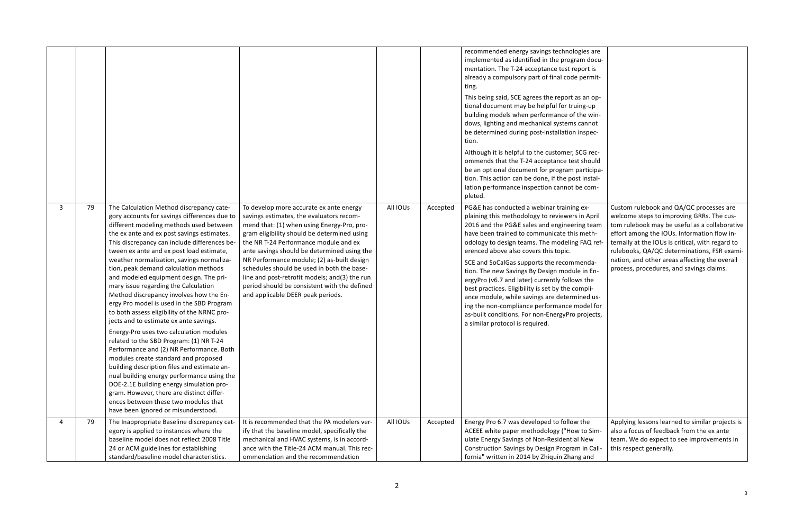|         |                                                                                                                                                                                                                                                                                                                                                                                                                                                                                                                                                                                                                                                                                                                                                                                                                                                                                                                                                                                                                                                                                       |                                                                                                                                                                                                                                                                                                                                                                                                                                                                                                            |          |          | recommended energy savings technologies are<br>implemented as identified in the program docu-<br>mentation. The T-24 acceptance test report is<br>already a compulsory part of final code permit-                                                                                                                                                                                                                                                                                                                                                                                                                                                                                   |                                                                                                                                                                                                                                                                                                                                                                                      |
|---------|---------------------------------------------------------------------------------------------------------------------------------------------------------------------------------------------------------------------------------------------------------------------------------------------------------------------------------------------------------------------------------------------------------------------------------------------------------------------------------------------------------------------------------------------------------------------------------------------------------------------------------------------------------------------------------------------------------------------------------------------------------------------------------------------------------------------------------------------------------------------------------------------------------------------------------------------------------------------------------------------------------------------------------------------------------------------------------------|------------------------------------------------------------------------------------------------------------------------------------------------------------------------------------------------------------------------------------------------------------------------------------------------------------------------------------------------------------------------------------------------------------------------------------------------------------------------------------------------------------|----------|----------|-------------------------------------------------------------------------------------------------------------------------------------------------------------------------------------------------------------------------------------------------------------------------------------------------------------------------------------------------------------------------------------------------------------------------------------------------------------------------------------------------------------------------------------------------------------------------------------------------------------------------------------------------------------------------------------|--------------------------------------------------------------------------------------------------------------------------------------------------------------------------------------------------------------------------------------------------------------------------------------------------------------------------------------------------------------------------------------|
|         |                                                                                                                                                                                                                                                                                                                                                                                                                                                                                                                                                                                                                                                                                                                                                                                                                                                                                                                                                                                                                                                                                       |                                                                                                                                                                                                                                                                                                                                                                                                                                                                                                            |          |          | ting.<br>This being said, SCE agrees the report as an op-<br>tional document may be helpful for truing-up<br>building models when performance of the win-<br>dows, lighting and mechanical systems cannot<br>be determined during post-installation inspec-<br>tion.<br>Although it is helpful to the customer, SCG rec-<br>ommends that the T-24 acceptance test should<br>be an optional document for program participa-<br>tion. This action can be done, if the post instal-<br>lation performance inspection cannot be com-<br>pleted.                                                                                                                                         |                                                                                                                                                                                                                                                                                                                                                                                      |
| 79<br>3 | The Calculation Method discrepancy cate-<br>gory accounts for savings differences due to<br>different modeling methods used between<br>the ex ante and ex post savings estimates.<br>This discrepancy can include differences be-<br>tween ex ante and ex post load estimate,<br>weather normalization, savings normaliza-<br>tion, peak demand calculation methods<br>and modeled equipment design. The pri-<br>mary issue regarding the Calculation<br>Method discrepancy involves how the En-<br>ergy Pro model is used in the SBD Program<br>to both assess eligibility of the NRNC pro-<br>jects and to estimate ex ante savings.<br>Energy-Pro uses two calculation modules<br>related to the SBD Program: (1) NR T-24<br>Performance and (2) NR Performance. Both<br>modules create standard and proposed<br>building description files and estimate an-<br>nual building energy performance using the<br>DOE-2.1E building energy simulation pro-<br>gram. However, there are distinct differ-<br>ences between these two modules that<br>have been ignored or misunderstood. | To develop more accurate ex ante energy<br>savings estimates, the evaluators recom-<br>mend that: (1) when using Energy-Pro, pro-<br>gram eligibility should be determined using<br>the NR T-24 Performance module and ex<br>ante savings should be determined using the<br>NR Performance module; (2) as-built design<br>schedules should be used in both the base-<br>line and post-retrofit models; and(3) the run<br>period should be consistent with the defined<br>and applicable DEER peak periods. | All IOUs | Accepted | PG&E has conducted a webinar training ex-<br>plaining this methodology to reviewers in April<br>2016 and the PG&E sales and engineering team<br>have been trained to communicate this meth-<br>odology to design teams. The modeling FAQ ref-<br>erenced above also covers this topic.<br>SCE and SoCalGas supports the recommenda-<br>tion. The new Savings By Design module in En-<br>ergyPro (v6.7 and later) currently follows the<br>best practices. Eligibility is set by the compli-<br>ance module, while savings are determined us-<br>ing the non-compliance performance model for<br>as-built conditions. For non-EnergyPro projects,<br>a similar protocol is required. | Custom rulebook and QA/QC processes are<br>welcome steps to improving GRRs. The cus-<br>tom rulebook may be useful as a collaborative<br>effort among the IOUs. Information flow in-<br>ternally at the IOUs is critical, with regard to<br>rulebooks, QA/QC determinations, FSR exami-<br>nation, and other areas affecting the overall<br>process, procedures, and savings claims. |
| 79      | The Inappropriate Baseline discrepancy cat-<br>egory is applied to instances where the<br>baseline model does not reflect 2008 Title<br>24 or ACM guidelines for establishing<br>standard/baseline model characteristics.                                                                                                                                                                                                                                                                                                                                                                                                                                                                                                                                                                                                                                                                                                                                                                                                                                                             | It is recommended that the PA modelers ver-<br>ify that the baseline model, specifically the<br>mechanical and HVAC systems, is in accord-<br>ance with the Title-24 ACM manual. This rec-<br>ommendation and the recommendation                                                                                                                                                                                                                                                                           | All IOUs | Accepted | Energy Pro 6.7 was developed to follow the<br>ACEEE white paper methodology ("How to Sim-<br>ulate Energy Savings of Non-Residential New<br>Construction Savings by Design Program in Cali-<br>fornia" written in 2014 by Zhiquin Zhang and                                                                                                                                                                                                                                                                                                                                                                                                                                         | Applying lessons learned to similar projects is<br>also a focus of feedback from the ex ante<br>team. We do expect to see improvements in<br>this respect generally.                                                                                                                                                                                                                 |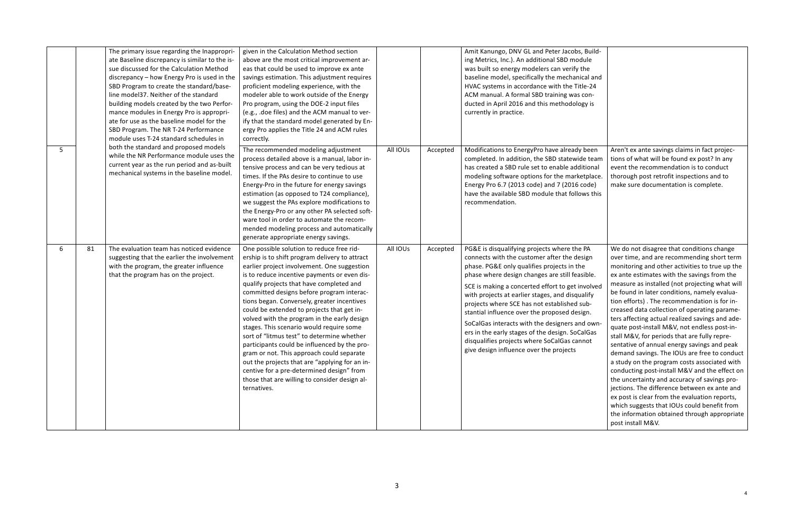|          | The primary issue regarding the Inappropri-<br>ate Baseline discrepancy is similar to the is-<br>sue discussed for the Calculation Method<br>discrepancy - how Energy Pro is used in the<br>SBD Program to create the standard/base-<br>line model37. Neither of the standard<br>building models created by the two Perfor-<br>mance modules in Energy Pro is appropri-<br>ate for use as the baseline model for the<br>SBD Program. The NR T-24 Performance<br>module uses T-24 standard schedules in<br>both the standard and proposed models<br>while the NR Performance module uses the<br>current year as the run period and as-built<br>mechanical systems in the baseline model. | given in the Calculation Method section<br>above are the most critical improvement ar-<br>eas that could be used to improve ex ante<br>savings estimation. This adjustment requires<br>proficient modeling experience, with the<br>modeler able to work outside of the Energy<br>Pro program, using the DOE-2 input files<br>(e.g., .doe files) and the ACM manual to ver-<br>ify that the standard model generated by En-<br>ergy Pro applies the Title 24 and ACM rules<br>correctly.                                                                                                                                                                                                                                                                                               |          |          | Amit Kanungo, DNV GL and Peter Jacobs, Build-<br>ing Metrics, Inc.). An additional SBD module<br>was built so energy modelers can verify the<br>baseline model, specifically the mechanical and<br>HVAC systems in accordance with the Title-24<br>ACM manual. A formal SBD training was con-<br>ducted in April 2016 and this methodology is<br>currently in practice.                                                                                                                                                                                                                         |                                                                                                                                                                                                                                                                                                                                                                                                                                                                                                                                                                                                                                                                                                                                                                                                                                                                                                                                                                                                                    |
|----------|-----------------------------------------------------------------------------------------------------------------------------------------------------------------------------------------------------------------------------------------------------------------------------------------------------------------------------------------------------------------------------------------------------------------------------------------------------------------------------------------------------------------------------------------------------------------------------------------------------------------------------------------------------------------------------------------|---------------------------------------------------------------------------------------------------------------------------------------------------------------------------------------------------------------------------------------------------------------------------------------------------------------------------------------------------------------------------------------------------------------------------------------------------------------------------------------------------------------------------------------------------------------------------------------------------------------------------------------------------------------------------------------------------------------------------------------------------------------------------------------|----------|----------|-------------------------------------------------------------------------------------------------------------------------------------------------------------------------------------------------------------------------------------------------------------------------------------------------------------------------------------------------------------------------------------------------------------------------------------------------------------------------------------------------------------------------------------------------------------------------------------------------|--------------------------------------------------------------------------------------------------------------------------------------------------------------------------------------------------------------------------------------------------------------------------------------------------------------------------------------------------------------------------------------------------------------------------------------------------------------------------------------------------------------------------------------------------------------------------------------------------------------------------------------------------------------------------------------------------------------------------------------------------------------------------------------------------------------------------------------------------------------------------------------------------------------------------------------------------------------------------------------------------------------------|
| 5        |                                                                                                                                                                                                                                                                                                                                                                                                                                                                                                                                                                                                                                                                                         | The recommended modeling adjustment<br>process detailed above is a manual, labor in-<br>tensive process and can be very tedious at<br>times. If the PAs desire to continue to use<br>Energy-Pro in the future for energy savings<br>estimation (as opposed to T24 compliance),<br>we suggest the PAs explore modifications to<br>the Energy-Pro or any other PA selected soft-<br>ware tool in order to automate the recom-<br>mended modeling process and automatically<br>generate appropriate energy savings.                                                                                                                                                                                                                                                                      | All IOUs | Accepted | Modifications to EnergyPro have already been<br>completed. In addition, the SBD statewide team<br>has created a SBD rule set to enable additional<br>modeling software options for the marketplace.<br>Energy Pro 6.7 (2013 code) and 7 (2016 code)<br>have the available SBD module that follows this<br>recommendation.                                                                                                                                                                                                                                                                       | Aren't ex ante savings claims in fact projec-<br>tions of what will be found ex post? In any<br>event the recommendation is to conduct<br>thorough post retrofit inspections and to<br>make sure documentation is complete.                                                                                                                                                                                                                                                                                                                                                                                                                                                                                                                                                                                                                                                                                                                                                                                        |
| 81<br>-6 | The evaluation team has noticed evidence<br>suggesting that the earlier the involvement<br>with the program, the greater influence<br>that the program has on the project.                                                                                                                                                                                                                                                                                                                                                                                                                                                                                                              | One possible solution to reduce free rid-<br>ership is to shift program delivery to attract<br>earlier project involvement. One suggestion<br>is to reduce incentive payments or even dis-<br>qualify projects that have completed and<br>committed designs before program interac-<br>tions began. Conversely, greater incentives<br>could be extended to projects that get in-<br>volved with the program in the early design<br>stages. This scenario would require some<br>sort of "litmus test" to determine whether<br>participants could be influenced by the pro-<br>gram or not. This approach could separate<br>out the projects that are "applying for an in-<br>centive for a pre-determined design" from<br>those that are willing to consider design al-<br>ternatives. | All IOUs | Accepted | PG&E is disqualifying projects where the PA<br>connects with the customer after the design<br>phase. PG&E only qualifies projects in the<br>phase where design changes are still feasible.<br>SCE is making a concerted effort to get involved<br>with projects at earlier stages, and disqualify<br>projects where SCE has not established sub-<br>stantial influence over the proposed design.<br>SoCalGas interacts with the designers and own-<br>ers in the early stages of the design. SoCalGas<br>disqualifies projects where SoCalGas cannot<br>give design influence over the projects | We do not disagree that conditions change<br>over time, and are recommending short term<br>monitoring and other activities to true up the<br>ex ante estimates with the savings from the<br>measure as installed (not projecting what will<br>be found in later conditions, namely evalua-<br>tion efforts). The recommendation is for in-<br>creased data collection of operating parame-<br>ters affecting actual realized savings and ade-<br>quate post-install M&V, not endless post-in-<br>stall M&V, for periods that are fully repre-<br>sentative of annual energy savings and peak<br>demand savings. The IOUs are free to conduct<br>a study on the program costs associated with<br>conducting post-install M&V and the effect on<br>the uncertainty and accuracy of savings pro-<br>jections. The difference between ex ante and<br>ex post is clear from the evaluation reports,<br>which suggests that IOUs could benefit from<br>the information obtained through appropriate<br>post install M&V. |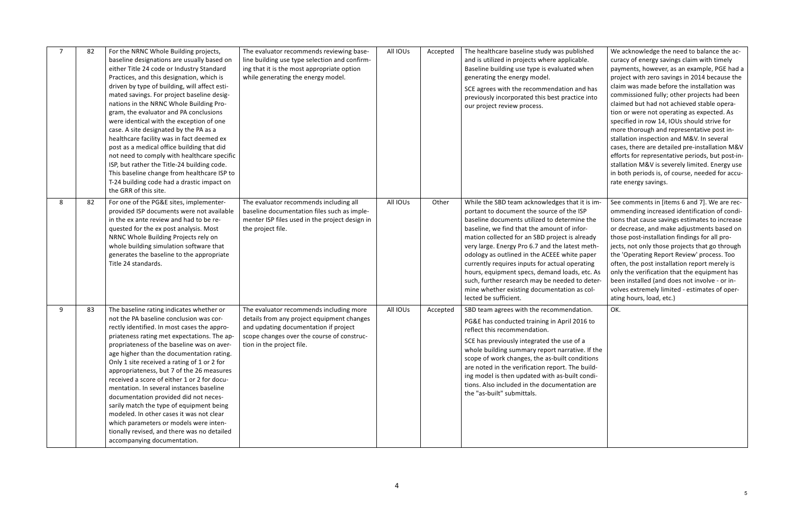|   | 82 | For the NRNC Whole Building projects,<br>baseline designations are usually based on<br>either Title 24 code or Industry Standard<br>Practices, and this designation, which is<br>driven by type of building, will affect esti-<br>mated savings. For project baseline desig-<br>nations in the NRNC Whole Building Pro-<br>gram, the evaluator and PA conclusions<br>were identical with the exception of one<br>case. A site designated by the PA as a<br>healthcare facility was in fact deemed ex<br>post as a medical office building that did<br>not need to comply with healthcare specific<br>ISP, but rather the Title-24 building code.<br>This baseline change from healthcare ISP to<br>T-24 building code had a drastic impact on<br>the GRR of this site. | The evaluator recommends reviewing base-<br>line building use type selection and confirm-<br>ing that it is the most appropriate option<br>while generating the energy model.                             | All IOUs | Accepted | The healthcare baseline study was published<br>and is utilized in projects where applicable.<br>Baseline building use type is evaluated when<br>generating the energy model.<br>SCE agrees with the recommendation and has<br>previously incorporated this best practice into<br>our project review process.                                                                                                                                                                                                                                                                 | We acknowledge the need to balance the ac-<br>curacy of energy savings claim with timely<br>payments, however, as an example, PGE had a<br>project with zero savings in 2014 because the<br>claim was made before the installation was<br>commissioned fully; other projects had been<br>claimed but had not achieved stable opera-<br>tion or were not operating as expected. As<br>specified in row 14, IOUs should strive for<br>more thorough and representative post in-<br>stallation inspection and M&V. In several<br>cases, there are detailed pre-installation M&V<br>efforts for representative periods, but post-in-<br>stallation M&V is severely limited. Energy use<br>in both periods is, of course, needed for accu-<br>rate energy savings. |
|---|----|------------------------------------------------------------------------------------------------------------------------------------------------------------------------------------------------------------------------------------------------------------------------------------------------------------------------------------------------------------------------------------------------------------------------------------------------------------------------------------------------------------------------------------------------------------------------------------------------------------------------------------------------------------------------------------------------------------------------------------------------------------------------|-----------------------------------------------------------------------------------------------------------------------------------------------------------------------------------------------------------|----------|----------|------------------------------------------------------------------------------------------------------------------------------------------------------------------------------------------------------------------------------------------------------------------------------------------------------------------------------------------------------------------------------------------------------------------------------------------------------------------------------------------------------------------------------------------------------------------------------|---------------------------------------------------------------------------------------------------------------------------------------------------------------------------------------------------------------------------------------------------------------------------------------------------------------------------------------------------------------------------------------------------------------------------------------------------------------------------------------------------------------------------------------------------------------------------------------------------------------------------------------------------------------------------------------------------------------------------------------------------------------|
| 8 | 82 | For one of the PG&E sites, implementer-<br>provided ISP documents were not available<br>in the ex ante review and had to be re-<br>quested for the ex post analysis. Most<br>NRNC Whole Building Projects rely on<br>whole building simulation software that<br>generates the baseline to the appropriate<br>Title 24 standards.                                                                                                                                                                                                                                                                                                                                                                                                                                       | The evaluator recommends including all<br>baseline documentation files such as imple-<br>menter ISP files used in the project design in<br>the project file.                                              | All IOUs | Other    | While the SBD team acknowledges that it is im-<br>portant to document the source of the ISP<br>baseline documents utilized to determine the<br>baseline, we find that the amount of infor-<br>mation collected for an SBD project is already<br>very large. Energy Pro 6.7 and the latest meth-<br>odology as outlined in the ACEEE white paper<br>currently requires inputs for actual operating<br>hours, equipment specs, demand loads, etc. As<br>such, further research may be needed to deter-<br>mine whether existing documentation as col-<br>lected be sufficient. | See comments in [items 6 and 7]. We are rec-<br>ommending increased identification of condi-<br>tions that cause savings estimates to increase<br>or decrease, and make adjustments based on<br>those post-installation findings for all pro-<br>jects, not only those projects that go through<br>the 'Operating Report Review' process. Too<br>often, the post installation report merely is<br>only the verification that the equipment has<br>been installed (and does not involve - or in-<br>volves extremely limited - estimates of oper-<br>ating hours, load, etc.)                                                                                                                                                                                  |
| 9 | 83 | The baseline rating indicates whether or<br>not the PA baseline conclusion was cor-<br>rectly identified. In most cases the appro-<br>priateness rating met expectations. The ap-<br>propriateness of the baseline was on aver-<br>age higher than the documentation rating.<br>Only 1 site received a rating of 1 or 2 for<br>appropriateness, but 7 of the 26 measures<br>received a score of either 1 or 2 for docu-<br>mentation. In several instances baseline<br>documentation provided did not neces-<br>sarily match the type of equipment being<br>modeled. In other cases it was not clear<br>which parameters or models were inten-<br>tionally revised, and there was no detailed<br>accompanying documentation.                                           | The evaluator recommends including more<br>details from any project equipment changes<br>and updating documentation if project<br>scope changes over the course of construc-<br>tion in the project file. | All IOUs | Accepted | SBD team agrees with the recommendation.<br>PG&E has conducted training in April 2016 to<br>reflect this recommendation.<br>SCE has previously integrated the use of a<br>whole building summary report narrative. If the<br>scope of work changes, the as-built conditions<br>are noted in the verification report. The build-<br>ing model is then updated with as-built condi-<br>tions. Also included in the documentation are<br>the "as-built" submittals.                                                                                                             | OK.                                                                                                                                                                                                                                                                                                                                                                                                                                                                                                                                                                                                                                                                                                                                                           |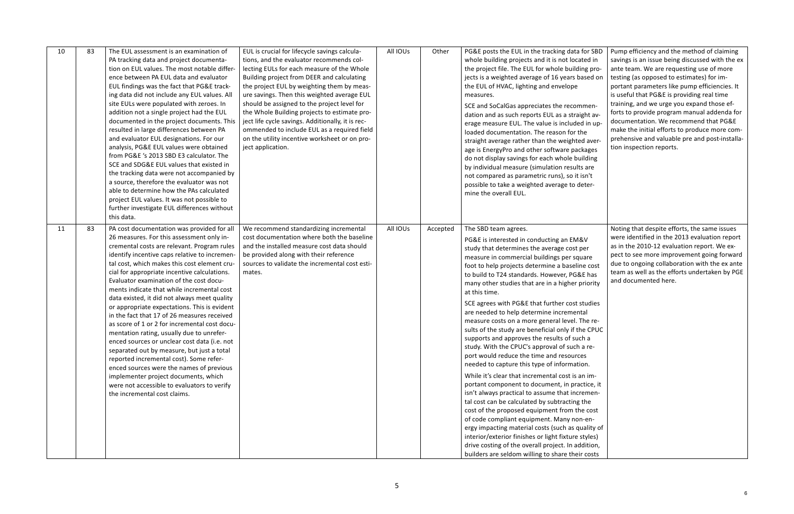| 10 | 83 | The EUL assessment is an examination of<br>PA tracking data and project documenta-<br>tion on EUL values. The most notable differ-<br>ence between PA EUL data and evaluator<br>EUL findings was the fact that PG&E track-<br>ing data did not include any EUL values. All<br>site EULs were populated with zeroes. In<br>addition not a single project had the EUL<br>documented in the project documents. This<br>resulted in large differences between PA<br>and evaluator EUL designations. For our<br>analysis, PG&E EUL values were obtained<br>from PG&E 's 2013 SBD E3 calculator. The<br>SCE and SDG&E EUL values that existed in<br>the tracking data were not accompanied by<br>a source, therefore the evaluator was not<br>able to determine how the PAs calculated<br>project EUL values. It was not possible to<br>further investigate EUL differences without<br>this data.                                               | EUL is crucial for lifecycle savings calcula-<br>tions, and the evaluator recommends col-<br>lecting EULs for each measure of the Whole<br>Building project from DEER and calculating<br>the project EUL by weighting them by meas-<br>ure savings. Then this weighted average EUL<br>should be assigned to the project level for<br>the Whole Building projects to estimate pro-<br>ject life cycle savings. Additionally, it is rec-<br>ommended to include EUL as a required field<br>on the utility incentive worksheet or on pro-<br>ject application. | All IOUs | Other    | PG&E posts the EUL in the tracking data for SBD<br>whole building projects and it is not located in<br>the project file. The EUL for whole building pro-<br>jects is a weighted average of 16 years based on<br>the EUL of HVAC, lighting and envelope<br>measures.<br>SCE and SoCalGas appreciates the recommen-<br>dation and as such reports EUL as a straight av-<br>erage measure EUL. The value is included in up-<br>loaded documentation. The reason for the<br>straight average rather than the weighted aver-<br>age is EnergyPro and other software packages<br>do not display savings for each whole building<br>by individual measure (simulation results are<br>not compared as parametric runs), so it isn't<br>possible to take a weighted average to deter-<br>mine the overall EUL.                                                                                                                                                                                                                                                                                                                                                                                                                                                              | Pump efficiency and the method of claiming<br>savings is an issue being discussed with the ex<br>ante team. We are requesting use of more<br>testing (as opposed to estimates) for im-<br>portant parameters like pump efficiencies. It<br>is useful that PG&E is providing real time<br>training, and we urge you expand those ef-<br>forts to provide program manual addenda for<br>documentation. We recommend that PG&E<br>make the initial efforts to produce more com-<br>prehensive and valuable pre and post-installa-<br>tion inspection reports. |
|----|----|-------------------------------------------------------------------------------------------------------------------------------------------------------------------------------------------------------------------------------------------------------------------------------------------------------------------------------------------------------------------------------------------------------------------------------------------------------------------------------------------------------------------------------------------------------------------------------------------------------------------------------------------------------------------------------------------------------------------------------------------------------------------------------------------------------------------------------------------------------------------------------------------------------------------------------------------|-------------------------------------------------------------------------------------------------------------------------------------------------------------------------------------------------------------------------------------------------------------------------------------------------------------------------------------------------------------------------------------------------------------------------------------------------------------------------------------------------------------------------------------------------------------|----------|----------|--------------------------------------------------------------------------------------------------------------------------------------------------------------------------------------------------------------------------------------------------------------------------------------------------------------------------------------------------------------------------------------------------------------------------------------------------------------------------------------------------------------------------------------------------------------------------------------------------------------------------------------------------------------------------------------------------------------------------------------------------------------------------------------------------------------------------------------------------------------------------------------------------------------------------------------------------------------------------------------------------------------------------------------------------------------------------------------------------------------------------------------------------------------------------------------------------------------------------------------------------------------------|------------------------------------------------------------------------------------------------------------------------------------------------------------------------------------------------------------------------------------------------------------------------------------------------------------------------------------------------------------------------------------------------------------------------------------------------------------------------------------------------------------------------------------------------------------|
| 11 | 83 | PA cost documentation was provided for all<br>26 measures. For this assessment only in-<br>cremental costs are relevant. Program rules<br>identify incentive caps relative to incremen-<br>tal cost, which makes this cost element cru-<br>cial for appropriate incentive calculations.<br>Evaluator examination of the cost docu-<br>ments indicate that while incremental cost<br>data existed, it did not always meet quality<br>or appropriate expectations. This is evident<br>in the fact that 17 of 26 measures received<br>as score of 1 or 2 for incremental cost docu-<br>mentation rating, usually due to unrefer-<br>enced sources or unclear cost data (i.e. not<br>separated out by measure, but just a total<br>reported incremental cost). Some refer-<br>enced sources were the names of previous<br>implementer project documents, which<br>were not accessible to evaluators to verify<br>the incremental cost claims. | We recommend standardizing incremental<br>cost documentation where both the baseline<br>and the installed measure cost data should<br>be provided along with their reference<br>sources to validate the incremental cost esti-<br>mates.                                                                                                                                                                                                                                                                                                                    | All IOUs | Accepted | The SBD team agrees.<br>PG&E is interested in conducting an EM&V<br>study that determines the average cost per<br>measure in commercial buildings per square<br>foot to help projects determine a baseline cost<br>to build to T24 standards. However, PG&E has<br>many other studies that are in a higher priority<br>at this time.<br>SCE agrees with PG&E that further cost studies<br>are needed to help determine incremental<br>measure costs on a more general level. The re-<br>sults of the study are beneficial only if the CPUC<br>supports and approves the results of such a<br>study. With the CPUC's approval of such a re-<br>port would reduce the time and resources<br>needed to capture this type of information.<br>While it's clear that incremental cost is an im-<br>portant component to document, in practice, it<br>isn't always practical to assume that incremen-<br>tal cost can be calculated by subtracting the<br>cost of the proposed equipment from the cost<br>of code compliant equipment. Many non-en-<br>ergy impacting material costs (such as quality of<br>interior/exterior finishes or light fixture styles)<br>drive costing of the overall project. In addition,<br>builders are seldom willing to share their costs | Noting that despite efforts, the same issues<br>were identified in the 2013 evaluation report<br>as in the 2010-12 evaluation report. We ex-<br>pect to see more improvement going forward<br>due to ongoing collaboration with the ex ante<br>team as well as the efforts undertaken by PGE<br>and documented here.                                                                                                                                                                                                                                       |